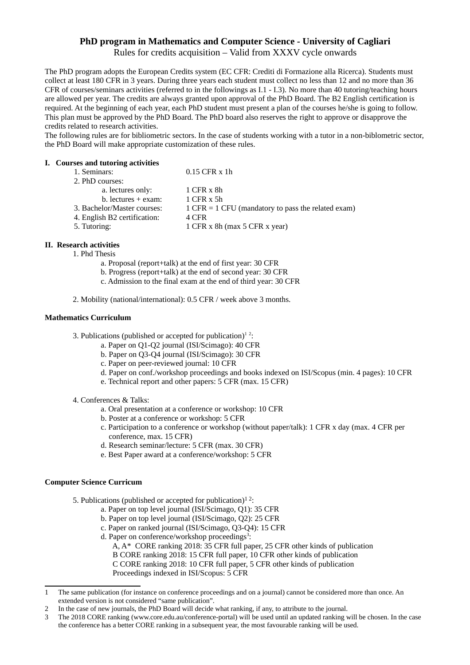## **PhD program in Mathematics and Computer Science - University of Cagliari**

Rules for credits acquisition – Valid from XXXV cycle onwards

The PhD program adopts the European Credits system (EC CFR: Crediti di Formazione alla Ricerca). Students must collect at least 180 CFR in 3 years. During three years each student must collect no less than 12 and no more than 36 CFR of courses/seminars activities (referred to in the followings as I.1 - I.3). No more than 40 tutoring/teaching hours are allowed per year. The credits are always granted upon approval of the PhD Board. The B2 English certification is required. At the beginning of each year, each PhD student must present a plan of the courses he/she is going to follow. This plan must be approved by the PhD Board. The PhD board also reserves the right to approve or disapprove the credits related to research activities.

The following rules are for bibliometric sectors. In the case of students working with a tutor in a non-biblometric sector, the PhD Board will make appropriate customization of these rules.

#### **I. Courses and tutoring activities**

| 1. Seminars:                 | $0.15$ CFR $x$ 1h                                    |
|------------------------------|------------------------------------------------------|
| 2. PhD courses:              |                                                      |
| a. lectures only:            | 1 CFR x 8h                                           |
| $b.$ lectures $+$ exam:      | $1$ CFR $x$ 5h                                       |
| 3. Bachelor/Master courses:  | $1$ CFR = 1 CFU (mandatory to pass the related exam) |
| 4. English B2 certification: | 4 CFR                                                |
| 5. Tutoring:                 | 1 CFR x 8h (max 5 CFR x year)                        |
|                              |                                                      |

# **II. Research activities**

1. Phd Thesis

- a. Proposal (report+talk) at the end of first year: 30 CFR
- b. Progress (report+talk) at the end of second year: 30 CFR
- c. Admission to the final exam at the end of third year: 30 CFR
- 2. Mobility (national/international): 0.5 CFR / week above 3 months.

### **Mathematics Curriculum**

3. Publications (published or accepted for publication)<sup>[1](#page-0-0)[2](#page-0-1)</sup>:

- a. Paper on Q1-Q2 journal (ISI/Scimago): 40 CFR
- b. Paper on Q3-Q4 journal (ISI/Scimago): 30 CFR
- c. Paper on peer-reviewed journal: 10 CFR
- d. Paper on conf./workshop proceedings and books indexed on ISI/Scopus (min. 4 pages): 10 CFR
- e. Technical report and other papers: 5 CFR (max. 15 CFR)
- 4. Conferences & Talks:
	- a. Oral presentation at a conference or workshop: 10 CFR
	- b. Poster at a conference or workshop: 5 CFR
	- c. Participation to a conference or workshop (without paper/talk): 1 CFR x day (max. 4 CFR per conference, max. 15 CFR)
	- d. Research seminar/lecture: 5 CFR (max. 30 CFR)
	- e. Best Paper award at a conference/workshop: 5 CFR

### **Computer Science Curricum**

- 5. Publications (published or accepted for publication) $1^2$ :
	- a. Paper on top level journal (ISI/Scimago, Q1): 35 CFR
	- b. Paper on top level journal (ISI/Scimago, Q2): 25 CFR
	- c. Paper on ranked journal (ISI/Scimago, Q3-Q4): 15 CFR
	- d. Paper on conference/workshop proceedings<sup>[3](#page-0-2)</sup>:
		- A, A\* CORE ranking 2018: 35 CFR full paper, 25 CFR other kinds of publication B CORE ranking 2018: 15 CFR full paper, 10 CFR other kinds of publication C CORE ranking 2018: 10 CFR full paper, 5 CFR other kinds of publication Proceedings indexed in ISI/Scopus: 5 CFR

<span id="page-0-0"></span><sup>1</sup> The same publication (for instance on conference proceedings and on a journal) cannot be considered more than once. An extended version is not considered "same publication".

<span id="page-0-1"></span><sup>2</sup> In the case of new journals, the PhD Board will decide what ranking, if any, to attribute to the journal.

<span id="page-0-2"></span><sup>3</sup> The 2018 CORE ranking (www.core.edu.au/conference-portal) will be used until an updated ranking will be chosen. In the case the conference has a better CORE ranking in a subsequent year, the most favourable ranking will be used.